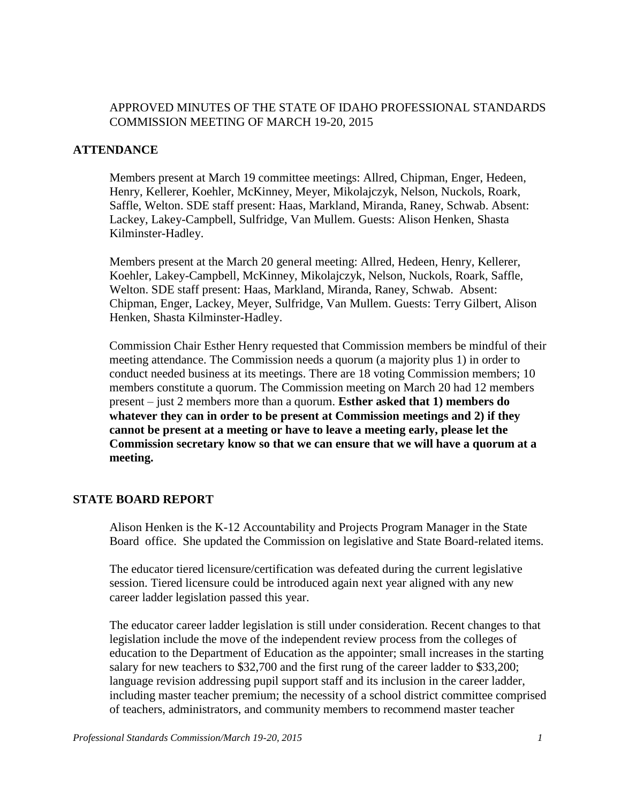#### APPROVED MINUTES OF THE STATE OF IDAHO PROFESSIONAL STANDARDS COMMISSION MEETING OF MARCH 19-20, 2015

#### **ATTENDANCE**

Members present at March 19 committee meetings: Allred, Chipman, Enger, Hedeen, Henry, Kellerer, Koehler, McKinney, Meyer, Mikolajczyk, Nelson, Nuckols, Roark, Saffle, Welton. SDE staff present: Haas, Markland, Miranda, Raney, Schwab. Absent: Lackey, Lakey-Campbell, Sulfridge, Van Mullem. Guests: Alison Henken, Shasta Kilminster-Hadley.

Members present at the March 20 general meeting: Allred, Hedeen, Henry, Kellerer, Koehler, Lakey-Campbell, McKinney, Mikolajczyk, Nelson, Nuckols, Roark, Saffle, Welton. SDE staff present: Haas, Markland, Miranda, Raney, Schwab. Absent: Chipman, Enger, Lackey, Meyer, Sulfridge, Van Mullem. Guests: Terry Gilbert, Alison Henken, Shasta Kilminster-Hadley.

Commission Chair Esther Henry requested that Commission members be mindful of their meeting attendance. The Commission needs a quorum (a majority plus 1) in order to conduct needed business at its meetings. There are 18 voting Commission members; 10 members constitute a quorum. The Commission meeting on March 20 had 12 members present – just 2 members more than a quorum. **Esther asked that 1) members do whatever they can in order to be present at Commission meetings and 2) if they cannot be present at a meeting or have to leave a meeting early, please let the Commission secretary know so that we can ensure that we will have a quorum at a meeting.**

#### **STATE BOARD REPORT**

Alison Henken is the K-12 Accountability and Projects Program Manager in the State Board office. She updated the Commission on legislative and State Board-related items.

The educator tiered licensure/certification was defeated during the current legislative session. Tiered licensure could be introduced again next year aligned with any new career ladder legislation passed this year.

The educator career ladder legislation is still under consideration. Recent changes to that legislation include the move of the independent review process from the colleges of education to the Department of Education as the appointer; small increases in the starting salary for new teachers to \$32,700 and the first rung of the career ladder to \$33,200; language revision addressing pupil support staff and its inclusion in the career ladder, including master teacher premium; the necessity of a school district committee comprised of teachers, administrators, and community members to recommend master teacher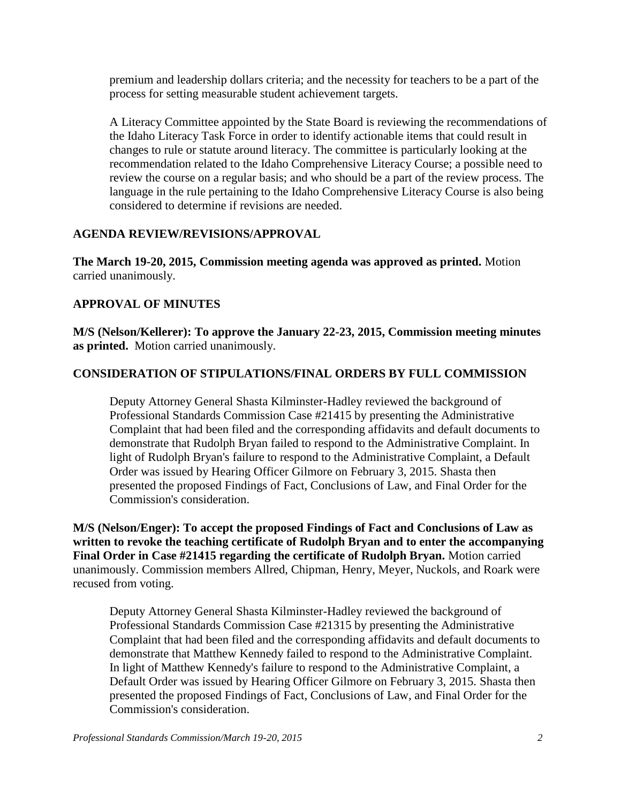premium and leadership dollars criteria; and the necessity for teachers to be a part of the process for setting measurable student achievement targets.

A Literacy Committee appointed by the State Board is reviewing the recommendations of the Idaho Literacy Task Force in order to identify actionable items that could result in changes to rule or statute around literacy. The committee is particularly looking at the recommendation related to the Idaho Comprehensive Literacy Course; a possible need to review the course on a regular basis; and who should be a part of the review process. The language in the rule pertaining to the Idaho Comprehensive Literacy Course is also being considered to determine if revisions are needed.

## **AGENDA REVIEW/REVISIONS/APPROVAL**

**The March 19-20, 2015, Commission meeting agenda was approved as printed.** Motion carried unanimously.

## **APPROVAL OF MINUTES**

**M/S (Nelson/Kellerer): To approve the January 22-23, 2015, Commission meeting minutes as printed.** Motion carried unanimously.

## **CONSIDERATION OF STIPULATIONS/FINAL ORDERS BY FULL COMMISSION**

Deputy Attorney General Shasta Kilminster-Hadley reviewed the background of Professional Standards Commission Case #21415 by presenting the Administrative Complaint that had been filed and the corresponding affidavits and default documents to demonstrate that Rudolph Bryan failed to respond to the Administrative Complaint. In light of Rudolph Bryan's failure to respond to the Administrative Complaint, a Default Order was issued by Hearing Officer Gilmore on February 3, 2015. Shasta then presented the proposed Findings of Fact, Conclusions of Law, and Final Order for the Commission's consideration.

**M/S (Nelson/Enger): To accept the proposed Findings of Fact and Conclusions of Law as written to revoke the teaching certificate of Rudolph Bryan and to enter the accompanying Final Order in Case #21415 regarding the certificate of Rudolph Bryan.** Motion carried unanimously. Commission members Allred, Chipman, Henry, Meyer, Nuckols, and Roark were recused from voting.

Deputy Attorney General Shasta Kilminster-Hadley reviewed the background of Professional Standards Commission Case #21315 by presenting the Administrative Complaint that had been filed and the corresponding affidavits and default documents to demonstrate that Matthew Kennedy failed to respond to the Administrative Complaint. In light of Matthew Kennedy's failure to respond to the Administrative Complaint, a Default Order was issued by Hearing Officer Gilmore on February 3, 2015. Shasta then presented the proposed Findings of Fact, Conclusions of Law, and Final Order for the Commission's consideration.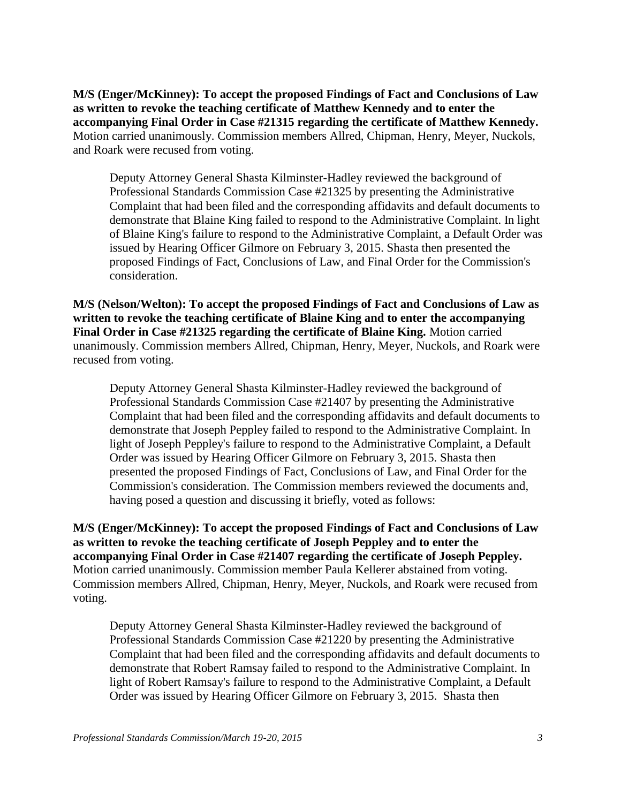**M/S (Enger/McKinney): To accept the proposed Findings of Fact and Conclusions of Law as written to revoke the teaching certificate of Matthew Kennedy and to enter the accompanying Final Order in Case #21315 regarding the certificate of Matthew Kennedy.**  Motion carried unanimously. Commission members Allred, Chipman, Henry, Meyer, Nuckols, and Roark were recused from voting.

Deputy Attorney General Shasta Kilminster-Hadley reviewed the background of Professional Standards Commission Case #21325 by presenting the Administrative Complaint that had been filed and the corresponding affidavits and default documents to demonstrate that Blaine King failed to respond to the Administrative Complaint. In light of Blaine King's failure to respond to the Administrative Complaint, a Default Order was issued by Hearing Officer Gilmore on February 3, 2015. Shasta then presented the proposed Findings of Fact, Conclusions of Law, and Final Order for the Commission's consideration.

**M/S (Nelson/Welton): To accept the proposed Findings of Fact and Conclusions of Law as written to revoke the teaching certificate of Blaine King and to enter the accompanying Final Order in Case #21325 regarding the certificate of Blaine King.** Motion carried unanimously. Commission members Allred, Chipman, Henry, Meyer, Nuckols, and Roark were recused from voting.

Deputy Attorney General Shasta Kilminster-Hadley reviewed the background of Professional Standards Commission Case #21407 by presenting the Administrative Complaint that had been filed and the corresponding affidavits and default documents to demonstrate that Joseph Peppley failed to respond to the Administrative Complaint. In light of Joseph Peppley's failure to respond to the Administrative Complaint, a Default Order was issued by Hearing Officer Gilmore on February 3, 2015. Shasta then presented the proposed Findings of Fact, Conclusions of Law, and Final Order for the Commission's consideration. The Commission members reviewed the documents and, having posed a question and discussing it briefly, voted as follows:

**M/S (Enger/McKinney): To accept the proposed Findings of Fact and Conclusions of Law as written to revoke the teaching certificate of Joseph Peppley and to enter the accompanying Final Order in Case #21407 regarding the certificate of Joseph Peppley.** Motion carried unanimously. Commission member Paula Kellerer abstained from voting. Commission members Allred, Chipman, Henry, Meyer, Nuckols, and Roark were recused from voting.

Deputy Attorney General Shasta Kilminster-Hadley reviewed the background of Professional Standards Commission Case #21220 by presenting the Administrative Complaint that had been filed and the corresponding affidavits and default documents to demonstrate that Robert Ramsay failed to respond to the Administrative Complaint. In light of Robert Ramsay's failure to respond to the Administrative Complaint, a Default Order was issued by Hearing Officer Gilmore on February 3, 2015. Shasta then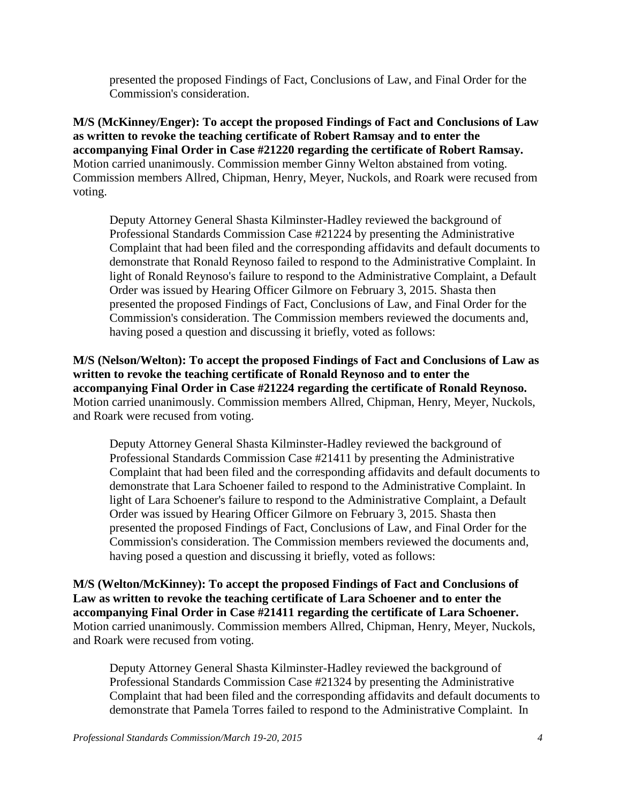presented the proposed Findings of Fact, Conclusions of Law, and Final Order for the Commission's consideration.

**M/S (McKinney/Enger): To accept the proposed Findings of Fact and Conclusions of Law as written to revoke the teaching certificate of Robert Ramsay and to enter the accompanying Final Order in Case #21220 regarding the certificate of Robert Ramsay.** Motion carried unanimously. Commission member Ginny Welton abstained from voting. Commission members Allred, Chipman, Henry, Meyer, Nuckols, and Roark were recused from voting.

Deputy Attorney General Shasta Kilminster-Hadley reviewed the background of Professional Standards Commission Case #21224 by presenting the Administrative Complaint that had been filed and the corresponding affidavits and default documents to demonstrate that Ronald Reynoso failed to respond to the Administrative Complaint. In light of Ronald Reynoso's failure to respond to the Administrative Complaint, a Default Order was issued by Hearing Officer Gilmore on February 3, 2015. Shasta then presented the proposed Findings of Fact, Conclusions of Law, and Final Order for the Commission's consideration. The Commission members reviewed the documents and, having posed a question and discussing it briefly, voted as follows:

**M/S (Nelson/Welton): To accept the proposed Findings of Fact and Conclusions of Law as written to revoke the teaching certificate of Ronald Reynoso and to enter the accompanying Final Order in Case #21224 regarding the certificate of Ronald Reynoso.** Motion carried unanimously. Commission members Allred, Chipman, Henry, Meyer, Nuckols, and Roark were recused from voting.

Deputy Attorney General Shasta Kilminster-Hadley reviewed the background of Professional Standards Commission Case #21411 by presenting the Administrative Complaint that had been filed and the corresponding affidavits and default documents to demonstrate that Lara Schoener failed to respond to the Administrative Complaint. In light of Lara Schoener's failure to respond to the Administrative Complaint, a Default Order was issued by Hearing Officer Gilmore on February 3, 2015. Shasta then presented the proposed Findings of Fact, Conclusions of Law, and Final Order for the Commission's consideration. The Commission members reviewed the documents and, having posed a question and discussing it briefly, voted as follows:

**M/S (Welton/McKinney): To accept the proposed Findings of Fact and Conclusions of Law as written to revoke the teaching certificate of Lara Schoener and to enter the accompanying Final Order in Case #21411 regarding the certificate of Lara Schoener.**  Motion carried unanimously. Commission members Allred, Chipman, Henry, Meyer, Nuckols, and Roark were recused from voting.

Deputy Attorney General Shasta Kilminster-Hadley reviewed the background of Professional Standards Commission Case #21324 by presenting the Administrative Complaint that had been filed and the corresponding affidavits and default documents to demonstrate that Pamela Torres failed to respond to the Administrative Complaint. In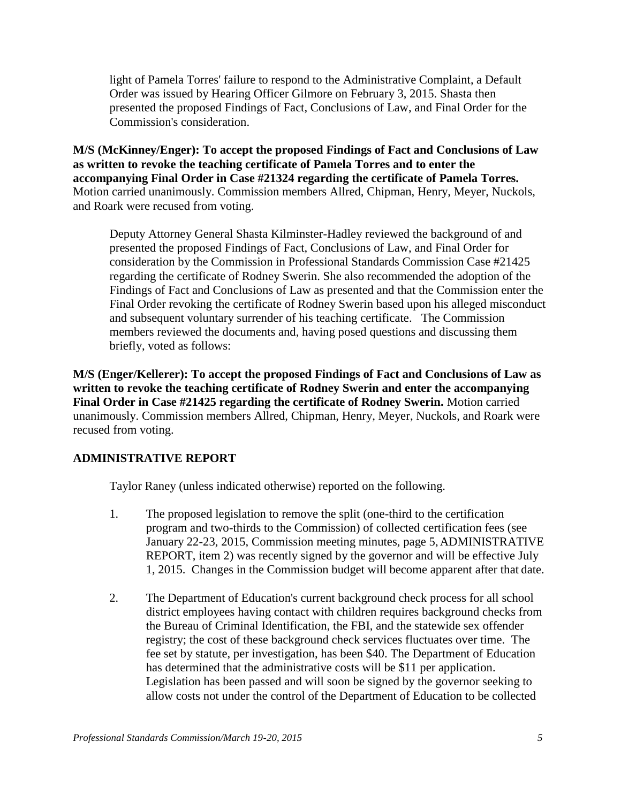light of Pamela Torres' failure to respond to the Administrative Complaint, a Default Order was issued by Hearing Officer Gilmore on February 3, 2015. Shasta then presented the proposed Findings of Fact, Conclusions of Law, and Final Order for the Commission's consideration.

**M/S (McKinney/Enger): To accept the proposed Findings of Fact and Conclusions of Law as written to revoke the teaching certificate of Pamela Torres and to enter the accompanying Final Order in Case #21324 regarding the certificate of Pamela Torres.** Motion carried unanimously. Commission members Allred, Chipman, Henry, Meyer, Nuckols, and Roark were recused from voting.

Deputy Attorney General Shasta Kilminster-Hadley reviewed the background of and presented the proposed Findings of Fact, Conclusions of Law, and Final Order for consideration by the Commission in Professional Standards Commission Case #21425 regarding the certificate of Rodney Swerin. She also recommended the adoption of the Findings of Fact and Conclusions of Law as presented and that the Commission enter the Final Order revoking the certificate of Rodney Swerin based upon his alleged misconduct and subsequent voluntary surrender of his teaching certificate. The Commission members reviewed the documents and, having posed questions and discussing them briefly, voted as follows:

**M/S (Enger/Kellerer): To accept the proposed Findings of Fact and Conclusions of Law as written to revoke the teaching certificate of Rodney Swerin and enter the accompanying Final Order in Case #21425 regarding the certificate of Rodney Swerin.** Motion carried unanimously. Commission members Allred, Chipman, Henry, Meyer, Nuckols, and Roark were recused from voting.

## **ADMINISTRATIVE REPORT**

Taylor Raney (unless indicated otherwise) reported on the following.

- 1. The proposed legislation to remove the split (one-third to the certification program and two-thirds to the Commission) of collected certification fees (see January 22-23, 2015, Commission meeting minutes, page 5,ADMINISTRATIVE REPORT, item 2) was recently signed by the governor and will be effective July 1, 2015. Changes in the Commission budget will become apparent after that date.
- 2. The Department of Education's current background check process for all school district employees having contact with children requires background checks from the Bureau of Criminal Identification, the FBI, and the statewide sex offender registry; the cost of these background check services fluctuates over time. The fee set by statute, per investigation, has been \$40. The Department of Education has determined that the administrative costs will be \$11 per application. Legislation has been passed and will soon be signed by the governor seeking to allow costs not under the control of the Department of Education to be collected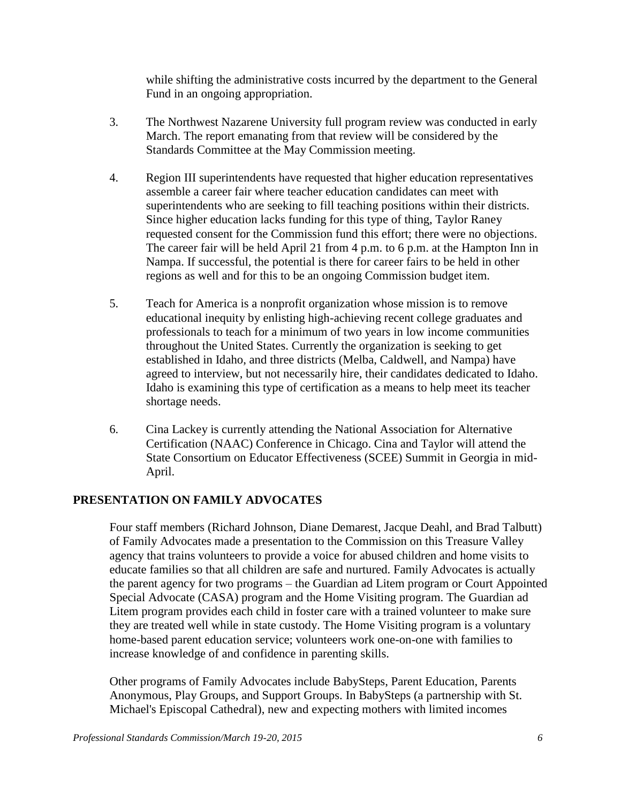while shifting the administrative costs incurred by the department to the General Fund in an ongoing appropriation.

- 3. The Northwest Nazarene University full program review was conducted in early March. The report emanating from that review will be considered by the Standards Committee at the May Commission meeting.
- 4. Region III superintendents have requested that higher education representatives assemble a career fair where teacher education candidates can meet with superintendents who are seeking to fill teaching positions within their districts. Since higher education lacks funding for this type of thing, Taylor Raney requested consent for the Commission fund this effort; there were no objections. The career fair will be held April 21 from 4 p.m. to 6 p.m. at the Hampton Inn in Nampa. If successful, the potential is there for career fairs to be held in other regions as well and for this to be an ongoing Commission budget item.
- 5. Teach for America is a nonprofit organization whose mission is to remove educational inequity by enlisting high-achieving recent college graduates and professionals to teach for a minimum of two years in low income communities throughout the United States. Currently the organization is seeking to get established in Idaho, and three districts (Melba, Caldwell, and Nampa) have agreed to interview, but not necessarily hire, their candidates dedicated to Idaho. Idaho is examining this type of certification as a means to help meet its teacher shortage needs.
- 6. Cina Lackey is currently attending the National Association for Alternative Certification (NAAC) Conference in Chicago. Cina and Taylor will attend the State Consortium on Educator Effectiveness (SCEE) Summit in Georgia in mid-April.

# **PRESENTATION ON FAMILY ADVOCATES**

Four staff members (Richard Johnson, Diane Demarest, Jacque Deahl, and Brad Talbutt) of Family Advocates made a presentation to the Commission on this Treasure Valley agency that trains volunteers to provide a voice for abused children and home visits to educate families so that all children are safe and nurtured. Family Advocates is actually the parent agency for two programs – the Guardian ad Litem program or Court Appointed Special Advocate (CASA) program and the Home Visiting program. The Guardian ad Litem program provides each child in foster care with a trained volunteer to make sure they are treated well while in state custody. The Home Visiting program is a voluntary home-based parent education service; volunteers work one-on-one with families to increase knowledge of and confidence in parenting skills.

Other programs of Family Advocates include BabySteps, Parent Education, Parents Anonymous, Play Groups, and Support Groups. In BabySteps (a partnership with St. Michael's Episcopal Cathedral), new and expecting mothers with limited incomes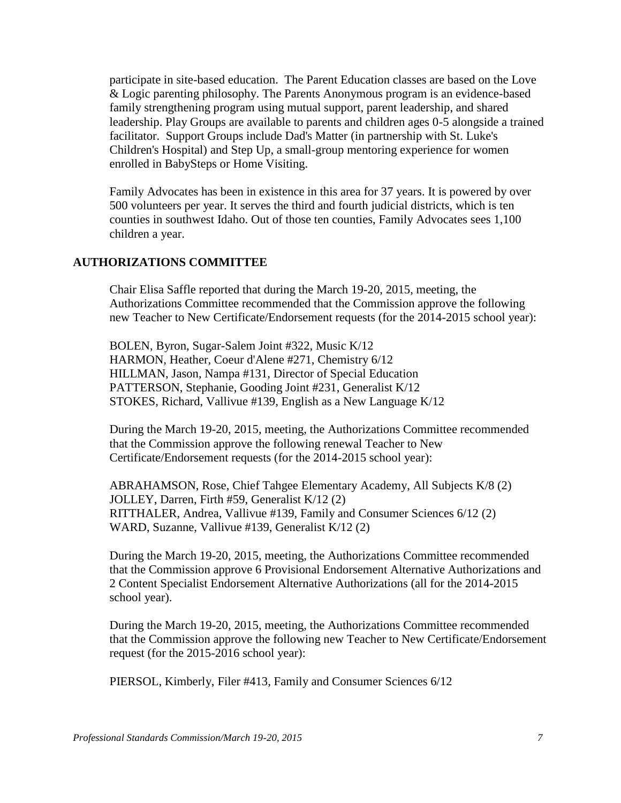participate in site-based education. The Parent Education classes are based on the Love & Logic parenting philosophy. The Parents Anonymous program is an evidence-based family strengthening program using mutual support, parent leadership, and shared leadership. Play Groups are available to parents and children ages 0-5 alongside a trained facilitator. Support Groups include Dad's Matter (in partnership with St. Luke's Children's Hospital) and Step Up, a small-group mentoring experience for women enrolled in BabySteps or Home Visiting.

Family Advocates has been in existence in this area for 37 years. It is powered by over 500 volunteers per year. It serves the third and fourth judicial districts, which is ten counties in southwest Idaho. Out of those ten counties, Family Advocates sees 1,100 children a year.

## **AUTHORIZATIONS COMMITTEE**

Chair Elisa Saffle reported that during the March 19-20, 2015, meeting, the Authorizations Committee recommended that the Commission approve the following new Teacher to New Certificate/Endorsement requests (for the 2014-2015 school year):

BOLEN, Byron, Sugar-Salem Joint #322, Music K/12 HARMON, Heather, Coeur d'Alene #271, Chemistry 6/12 HILLMAN, Jason, Nampa #131, Director of Special Education PATTERSON, Stephanie, Gooding Joint #231, Generalist K/12 STOKES, Richard, Vallivue #139, English as a New Language K/12

During the March 19-20, 2015, meeting, the Authorizations Committee recommended that the Commission approve the following renewal Teacher to New Certificate/Endorsement requests (for the 2014-2015 school year):

ABRAHAMSON, Rose, Chief Tahgee Elementary Academy, All Subjects K/8 (2) JOLLEY, Darren, Firth #59, Generalist K/12 (2) RITTHALER, Andrea, Vallivue #139, Family and Consumer Sciences 6/12 (2) WARD, Suzanne, Vallivue #139, Generalist K/12 (2)

During the March 19-20, 2015, meeting, the Authorizations Committee recommended that the Commission approve 6 Provisional Endorsement Alternative Authorizations and 2 Content Specialist Endorsement Alternative Authorizations (all for the 2014-2015 school year).

During the March 19-20, 2015, meeting, the Authorizations Committee recommended that the Commission approve the following new Teacher to New Certificate/Endorsement request (for the 2015-2016 school year):

PIERSOL, Kimberly, Filer #413, Family and Consumer Sciences 6/12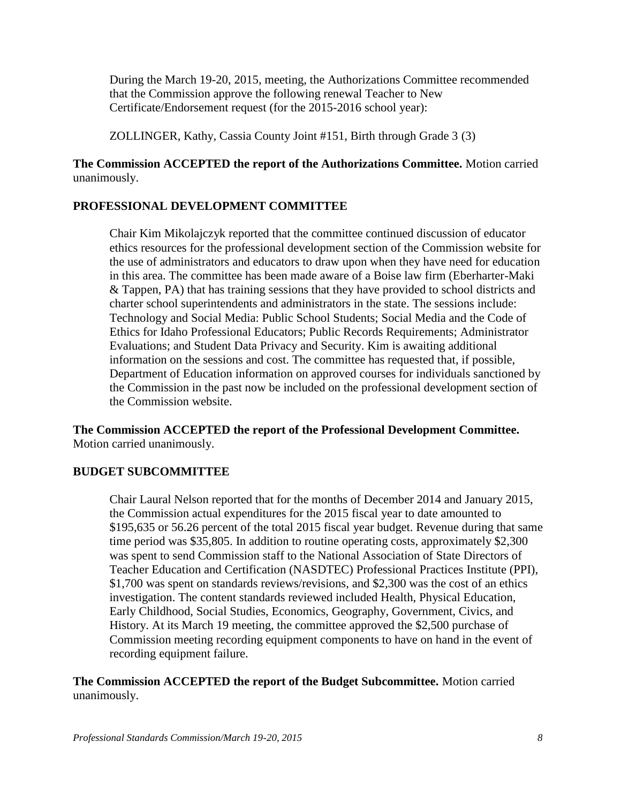During the March 19-20, 2015, meeting, the Authorizations Committee recommended that the Commission approve the following renewal Teacher to New Certificate/Endorsement request (for the 2015-2016 school year):

ZOLLINGER, Kathy, Cassia County Joint #151, Birth through Grade 3 (3)

**The Commission ACCEPTED the report of the Authorizations Committee.** Motion carried unanimously.

## **PROFESSIONAL DEVELOPMENT COMMITTEE**

Chair Kim Mikolajczyk reported that the committee continued discussion of educator ethics resources for the professional development section of the Commission website for the use of administrators and educators to draw upon when they have need for education in this area. The committee has been made aware of a Boise law firm (Eberharter-Maki & Tappen, PA) that has training sessions that they have provided to school districts and charter school superintendents and administrators in the state. The sessions include: Technology and Social Media: Public School Students; Social Media and the Code of Ethics for Idaho Professional Educators; Public Records Requirements; Administrator Evaluations; and Student Data Privacy and Security. Kim is awaiting additional information on the sessions and cost. The committee has requested that, if possible, Department of Education information on approved courses for individuals sanctioned by the Commission in the past now be included on the professional development section of the Commission website.

**The Commission ACCEPTED the report of the Professional Development Committee.** Motion carried unanimously.

## **BUDGET SUBCOMMITTEE**

Chair Laural Nelson reported that for the months of December 2014 and January 2015, the Commission actual expenditures for the 2015 fiscal year to date amounted to \$195,635 or 56.26 percent of the total 2015 fiscal year budget. Revenue during that same time period was \$35,805. In addition to routine operating costs, approximately \$2,300 was spent to send Commission staff to the National Association of State Directors of Teacher Education and Certification (NASDTEC) Professional Practices Institute (PPI), \$1,700 was spent on standards reviews/revisions, and \$2,300 was the cost of an ethics investigation. The content standards reviewed included Health, Physical Education, Early Childhood, Social Studies, Economics, Geography, Government, Civics, and History. At its March 19 meeting, the committee approved the \$2,500 purchase of Commission meeting recording equipment components to have on hand in the event of recording equipment failure.

## **The Commission ACCEPTED the report of the Budget Subcommittee.** Motion carried unanimously.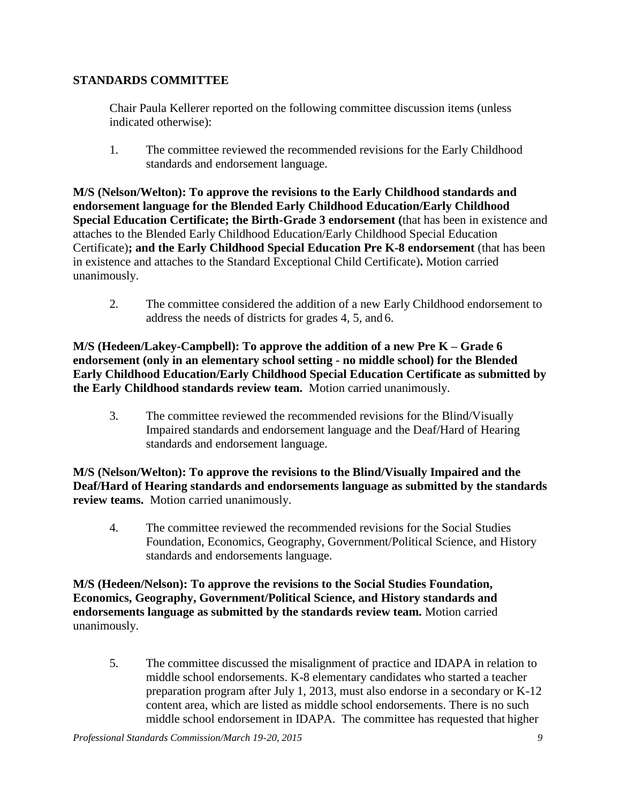## **STANDARDS COMMITTEE**

Chair Paula Kellerer reported on the following committee discussion items (unless indicated otherwise):

1. The committee reviewed the recommended revisions for the Early Childhood standards and endorsement language.

**M/S (Nelson/Welton): To approve the revisions to the Early Childhood standards and endorsement language for the Blended Early Childhood Education/Early Childhood Special Education Certificate; the Birth-Grade 3 endorsement (**that has been in existence and attaches to the Blended Early Childhood Education/Early Childhood Special Education Certificate)**; and the Early Childhood Special Education Pre K-8 endorsement** (that has been in existence and attaches to the Standard Exceptional Child Certificate)**.** Motion carried unanimously.

2. The committee considered the addition of a new Early Childhood endorsement to address the needs of districts for grades 4, 5, and 6.

**M/S (Hedeen/Lakey-Campbell): To approve the addition of a new Pre K – Grade 6 endorsement (only in an elementary school setting - no middle school) for the Blended Early Childhood Education/Early Childhood Special Education Certificate as submitted by the Early Childhood standards review team.** Motion carried unanimously.

3. The committee reviewed the recommended revisions for the Blind/Visually Impaired standards and endorsement language and the Deaf/Hard of Hearing standards and endorsement language.

**M/S (Nelson/Welton): To approve the revisions to the Blind/Visually Impaired and the Deaf/Hard of Hearing standards and endorsements language as submitted by the standards review teams.** Motion carried unanimously.

4. The committee reviewed the recommended revisions for the Social Studies Foundation, Economics, Geography, Government/Political Science, and History standards and endorsements language.

**M/S (Hedeen/Nelson): To approve the revisions to the Social Studies Foundation, Economics, Geography, Government/Political Science, and History standards and endorsements language as submitted by the standards review team.** Motion carried unanimously.

5. The committee discussed the misalignment of practice and IDAPA in relation to middle school endorsements. K-8 elementary candidates who started a teacher preparation program after July 1, 2013, must also endorse in a secondary or K-12 content area, which are listed as middle school endorsements. There is no such middle school endorsement in IDAPA. The committee has requested that higher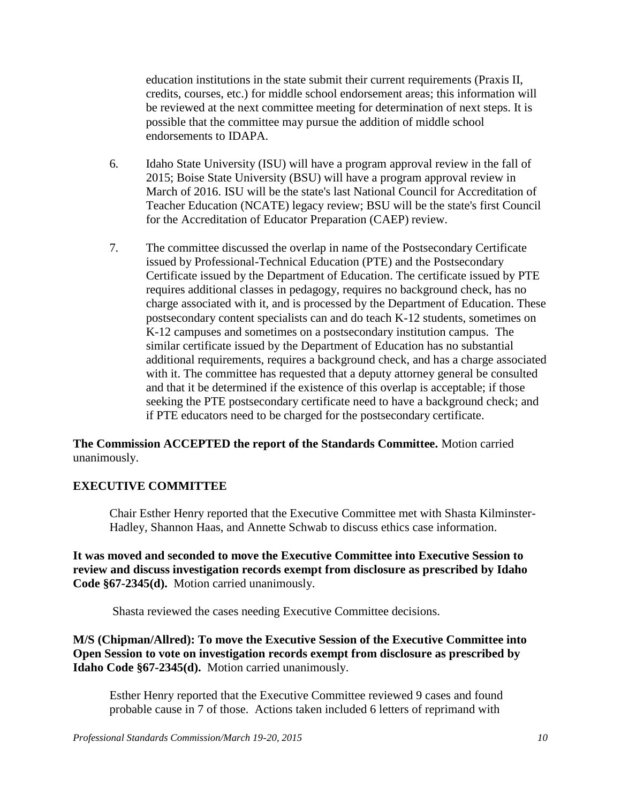education institutions in the state submit their current requirements (Praxis II, credits, courses, etc.) for middle school endorsement areas; this information will be reviewed at the next committee meeting for determination of next steps. It is possible that the committee may pursue the addition of middle school endorsements to IDAPA.

- 6. Idaho State University (ISU) will have a program approval review in the fall of 2015; Boise State University (BSU) will have a program approval review in March of 2016. ISU will be the state's last National Council for Accreditation of Teacher Education (NCATE) legacy review; BSU will be the state's first Council for the Accreditation of Educator Preparation (CAEP) review.
- 7. The committee discussed the overlap in name of the Postsecondary Certificate issued by Professional-Technical Education (PTE) and the Postsecondary Certificate issued by the Department of Education. The certificate issued by PTE requires additional classes in pedagogy, requires no background check, has no charge associated with it, and is processed by the Department of Education. These postsecondary content specialists can and do teach K-12 students, sometimes on K-12 campuses and sometimes on a postsecondary institution campus. The similar certificate issued by the Department of Education has no substantial additional requirements, requires a background check, and has a charge associated with it. The committee has requested that a deputy attorney general be consulted and that it be determined if the existence of this overlap is acceptable; if those seeking the PTE postsecondary certificate need to have a background check; and if PTE educators need to be charged for the postsecondary certificate.

## **The Commission ACCEPTED the report of the Standards Committee.** Motion carried unanimously.

## **EXECUTIVE COMMITTEE**

Chair Esther Henry reported that the Executive Committee met with Shasta Kilminster-Hadley, Shannon Haas, and Annette Schwab to discuss ethics case information.

**It was moved and seconded to move the Executive Committee into Executive Session to review and discuss investigation records exempt from disclosure as prescribed by Idaho Code §67-2345(d).** Motion carried unanimously.

Shasta reviewed the cases needing Executive Committee decisions.

**M/S (Chipman/Allred): To move the Executive Session of the Executive Committee into Open Session to vote on investigation records exempt from disclosure as prescribed by Idaho Code §67-2345(d).** Motion carried unanimously.

Esther Henry reported that the Executive Committee reviewed 9 cases and found probable cause in 7 of those. Actions taken included 6 letters of reprimand with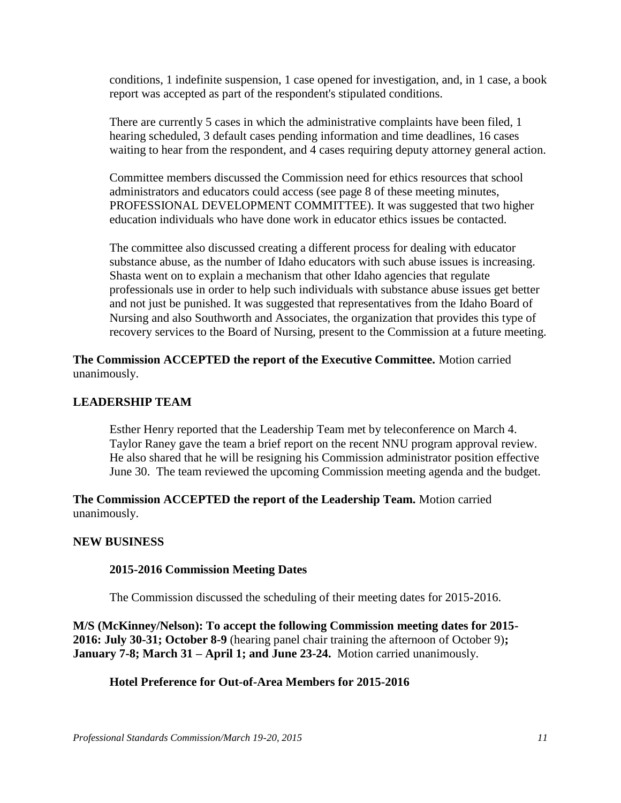conditions, 1 indefinite suspension, 1 case opened for investigation, and, in 1 case, a book report was accepted as part of the respondent's stipulated conditions.

There are currently 5 cases in which the administrative complaints have been filed, 1 hearing scheduled, 3 default cases pending information and time deadlines, 16 cases waiting to hear from the respondent, and 4 cases requiring deputy attorney general action.

Committee members discussed the Commission need for ethics resources that school administrators and educators could access (see page 8 of these meeting minutes, PROFESSIONAL DEVELOPMENT COMMITTEE). It was suggested that two higher education individuals who have done work in educator ethics issues be contacted.

The committee also discussed creating a different process for dealing with educator substance abuse, as the number of Idaho educators with such abuse issues is increasing. Shasta went on to explain a mechanism that other Idaho agencies that regulate professionals use in order to help such individuals with substance abuse issues get better and not just be punished. It was suggested that representatives from the Idaho Board of Nursing and also Southworth and Associates, the organization that provides this type of recovery services to the Board of Nursing, present to the Commission at a future meeting.

**The Commission ACCEPTED the report of the Executive Committee.** Motion carried unanimously.

#### **LEADERSHIP TEAM**

Esther Henry reported that the Leadership Team met by teleconference on March 4. Taylor Raney gave the team a brief report on the recent NNU program approval review. He also shared that he will be resigning his Commission administrator position effective June 30. The team reviewed the upcoming Commission meeting agenda and the budget.

**The Commission ACCEPTED the report of the Leadership Team.** Motion carried unanimously.

#### **NEW BUSINESS**

#### **2015-2016 Commission Meeting Dates**

The Commission discussed the scheduling of their meeting dates for 2015-2016.

**M/S (McKinney/Nelson): To accept the following Commission meeting dates for 2015- 2016: July 30-31; October 8-9** (hearing panel chair training the afternoon of October 9)**; January 7-8; March 31 – April 1; and June 23-24.** Motion carried unanimously.

#### **Hotel Preference for Out-of-Area Members for 2015-2016**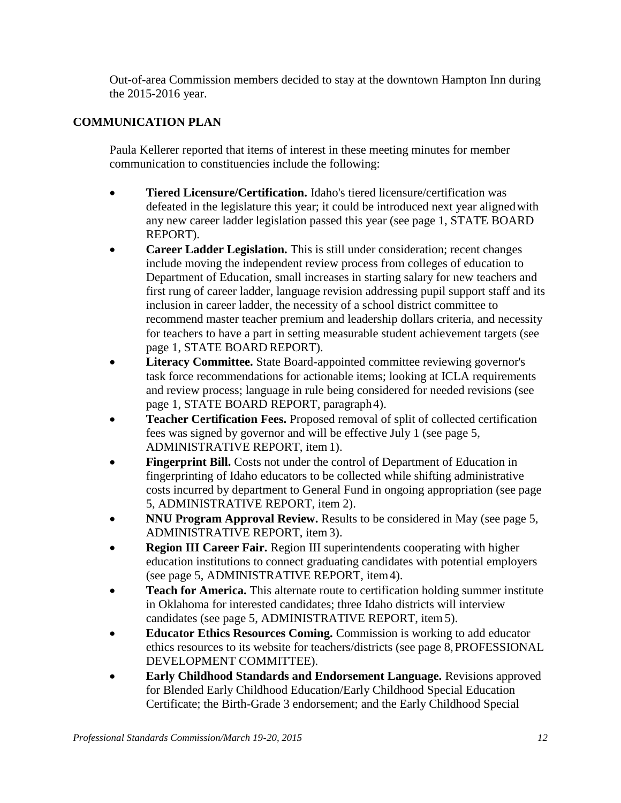Out-of-area Commission members decided to stay at the downtown Hampton Inn during the 2015-2016 year.

# **COMMUNICATION PLAN**

Paula Kellerer reported that items of interest in these meeting minutes for member communication to constituencies include the following:

- **Tiered Licensure/Certification.** Idaho's tiered licensure/certification was defeated in the legislature this year; it could be introduced next year alignedwith any new career ladder legislation passed this year (see page 1, STATE BOARD REPORT).
- **Career Ladder Legislation.** This is still under consideration; recent changes include moving the independent review process from colleges of education to Department of Education, small increases in starting salary for new teachers and first rung of career ladder, language revision addressing pupil support staff and its inclusion in career ladder, the necessity of a school district committee to recommend master teacher premium and leadership dollars criteria, and necessity for teachers to have a part in setting measurable student achievement targets (see page 1, STATE BOARD REPORT).
- **Literacy Committee.** State Board-appointed committee reviewing governor's task force recommendations for actionable items; looking at ICLA requirements and review process; language in rule being considered for needed revisions (see page 1, STATE BOARD REPORT, paragraph4).
- **Teacher Certification Fees.** Proposed removal of split of collected certification fees was signed by governor and will be effective July 1 (see page 5, ADMINISTRATIVE REPORT, item1).
- **Fingerprint Bill.** Costs not under the control of Department of Education in fingerprinting of Idaho educators to be collected while shifting administrative costs incurred by department to General Fund in ongoing appropriation (see page 5, ADMINISTRATIVE REPORT, item 2).
- **NNU Program Approval Review.** Results to be considered in May (see page 5, ADMINISTRATIVE REPORT, item3).
- **Region III Career Fair.** Region III superintendents cooperating with higher education institutions to connect graduating candidates with potential employers (see page 5, ADMINISTRATIVE REPORT, item4).
- **Teach for America.** This alternate route to certification holding summer institute in Oklahoma for interested candidates; three Idaho districts will interview candidates (see page 5, ADMINISTRATIVE REPORT, item 5).
- **Educator Ethics Resources Coming.** Commission is working to add educator ethics resources to its website for teachers/districts (see page 8,PROFESSIONAL DEVELOPMENT COMMITTEE).
- **Early Childhood Standards and Endorsement Language.** Revisions approved for Blended Early Childhood Education/Early Childhood Special Education Certificate; the Birth-Grade 3 endorsement; and the Early Childhood Special